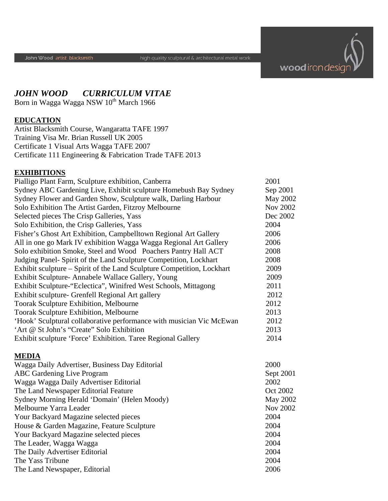

# *JOHN WOOD CURRICULUM VITAE*

Born in Wagga Wagga NSW 10<sup>th</sup> March 1966

### **EDUCATION**

Artist Blacksmith Course, Wangaratta TAFE 1997 Training Visa Mr. Brian Russell UK 2005 Certificate 1 Visual Arts Wagga TAFE 2007 Certificate 111 Engineering & Fabrication Trade TAFE 2013

#### **EXHIBITIONS**

| Pialligo Plant Farm, Sculpture exhibition, Canberra                    | 2001            |
|------------------------------------------------------------------------|-----------------|
| Sydney ABC Gardening Live, Exhibit sculpture Homebush Bay Sydney       | Sep 2001        |
| Sydney Flower and Garden Show, Sculpture walk, Darling Harbour         | May 2002        |
| Solo Exhibition The Artist Garden, Fitzroy Melbourne                   | <b>Nov 2002</b> |
| Selected pieces The Crisp Galleries, Yass                              | Dec 2002        |
| Solo Exhibition, the Crisp Galleries, Yass                             | 2004            |
| Fisher's Ghost Art Exhibition, Campbelltown Regional Art Gallery       | 2006            |
| All in one go Mark IV exhibition Wagga Wagga Regional Art Gallery      | 2006            |
| Solo exhibition Smoke, Steel and Wood Poachers Pantry Hall ACT         | 2008            |
| Judging Panel- Spirit of the Land Sculpture Competition, Lockhart      | 2008            |
| Exhibit sculpture – Spirit of the Land Sculpture Competition, Lockhart | 2009            |
| Exhibit Sculpture-Annabele Wallace Gallery, Young                      | 2009            |
| Exhibit Sculpture-"Eclectica", Winifred West Schools, Mittagong        | 2011            |
| Exhibit sculpture- Grenfell Regional Art gallery                       | 2012            |
| Toorak Sculpture Exhibition, Melbourne                                 | 2012            |
| Toorak Sculpture Exhibition, Melbourne                                 | 2013            |
| 'Hook' Sculptural collaborative performance with musician Vic McEwan   | 2012            |
| 'Art @ St John's "Create" Solo Exhibition                              | 2013            |
| Exhibit sculpture 'Force' Exhibition. Taree Regional Gallery           | 2014            |
| <b>MEDIA</b>                                                           |                 |
| Wagga Daily Advertiser, Business Day Editorial                         | 2000            |
| <b>ABC</b> Gardening Live Program                                      | Sept 2001       |
| Wagga Wagga Daily Advertiser Editorial                                 | 2002            |
| The Land Newspaper Editorial Feature                                   | Oct 2002        |
| Sydney Morning Herald 'Domain' (Helen Moody)                           | <b>May 2002</b> |
| Melbourne Yarra Leader                                                 | <b>Nov 2002</b> |
| Your Backyard Magazine selected pieces                                 | 2004            |

House & Garden Magazine, Feature Sculpture 2004 Your Backyard Magazine selected pieces 2004 The Leader, Wagga Wagga 2004 The Daily Advertiser Editorial 2004 The Yass Tribune 2004 The Land Newspaper, Editorial 2006